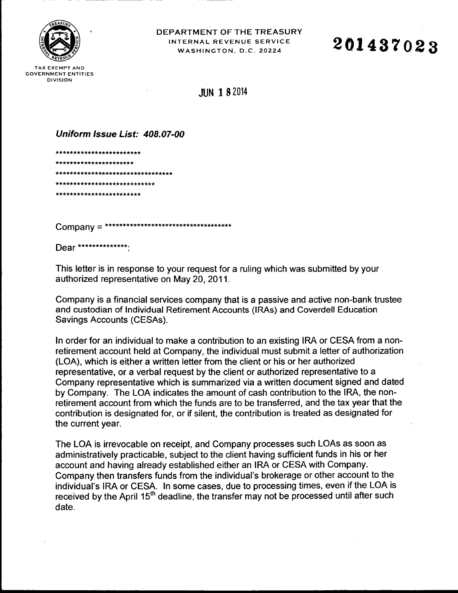

TAX EXEMPT AND **GOVERNMENT ENTITIES DIVISION** 

DEPARTMENT OF THE TREASURY INTERNAL REVENUE SERVICE WASHINGTON, D.C. 20224

## 201437023

**JUN 1 8 2014** 

Uniform Issue List: 408.07-00

\*\*\*\*\*\*\*\*\*\*\*\*\*\*\*\*\*\*\* \*\*\*\*\*\*\*\*\*\*\*\*\*\*\*\*\*\*\*\*\*\* \*\*\*\*\*\*\*\*\*\*\*\*\*\*\*\*\*\*\*\*\*\*\*\*\*\*\*\*\*\* \*\*\*\*\*\*\*\*\*\*\*\*\*\*\*\*\*\*\*\*\*\*\*\*\* \*\*\*\*\*\*\*\*\*\*\*\*\*\*\*\*\*\*\*\*\*\*

Dear \*\*\*\*\*\*\*\*\*\*\*\*\*\*\*\*

This letter is in response to your request for a ruling which was submitted by your authorized representative on May 20, 2011.

Company is a financial services company that is a passive and active non-bank trustee and custodian of Individual Retirement Accounts (IRAs) and Coverdell Education Savings Accounts (CESAs).

In order for an individual to make a contribution to an existing IRA or CESA from a nonretirement account held at Company, the individual must submit a letter of authorization (LOA), which is either a written letter from the client or his or her authorized representative, or a verbal request by the client or authorized representative to a Company representative which is summarized via a written document signed and dated by Company. The LOA indicates the amount of cash contribution to the IRA, the nonretirement account from which the funds are to be transferred, and the tax year that the contribution is designated for, or if silent, the contribution is treated as designated for the current year.

The LOA is irrevocable on receipt, and Company processes such LOAs as soon as administratively practicable, subject to the client having sufficient funds in his or her account and having already established either an IRA or CESA with Company. Company then transfers funds from the individual's brokerage or other account to the individual's IRA or CESA. In some cases, due to processing times, even if the LOA is received by the April 15<sup>th</sup> deadline, the transfer may not be processed until after such date.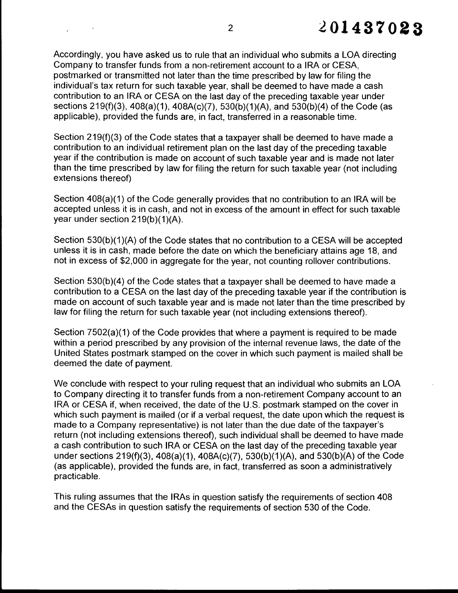Accordingly, you have asked us to rule that an individual who submits a LOA directing Company to transfer funds from a non-retirement account to a IRA or CESA, postmarked or transmitted not later than the time prescribed by law for filing the individual's tax return for such taxable year, shall be deemed to have made a cash contribution to an IRA or CESA on the last day of the preceding taxable year under sections 219(f)(3), 408(a)(1 ), 408A(c)(7), 530(b)(1 )(A), and 530(b)(4) of the Code (as applicable), provided the funds are, in fact, transferred in a reasonable time.

Section 219(f)(3) of the Code states that a taxpayer shall be deemed to have made a contribution to an individual retirement plan on the last day of the preceding taxable year if the contribution is made on account of such taxable year and is made not later than the time prescribed by law for filing the return for such taxable year (not including extensions thereof)

Section 408(a)(1) of the Code generally provides that no contribution to an IRA will be accepted unless it is in cash, and not in excess of the amount in effect for such taxable year under section 219(b)(1)(A).

Section 530(b)(1)(A) of the Code states that no contribution to a CESA will be accepted unless it is in cash, made before the date on which the beneficiary attains age 18, and not in excess of \$2,000 in aggregate for the year, not counting rollover contributions.

Section 530(b)(4) of the Code states that a taxpayer shall be deemed to have made a contribution to a CESA on the last day of the preceding taxable year if the contribution is made on account of such taxable year and is made not later than the time prescribed by law for filing the return for such taxable year (not including extensions thereof).

Section 7502(a)(1) of the Code provides that where a payment is required to be made within a period prescribed by any provision of the internal revenue laws, the date of the United States postmark stamped on the cover in which such payment is mailed shall be deemed the date of payment.

We conclude with respect to your ruling request that an individual who submits an LOA to Company directing it to transfer funds from a non-retirement Company account to an IRA or CESA if, when received, the date of the U.S. postmark stamped on the cover in which such payment is mailed (or if a verbal request, the date upon which the request is made to a Company representative) is not later than the due date of the taxpayer's return (not including extensions thereof), such individual shall be deemed to have made a cash contribution to such IRA or CESA on the last day of the preceding taxable year under sections 219(f)(3), 408(a)(1), 408A(c)(7), 530(b)(1)(A), and 530(b)(A) of the Code (as applicable), provided the funds are, in fact, transferred as soon a administratively practicable.

This ruling assumes that the IRAs in question satisfy the requirements of section 408 and the CESAs in question satisfy the requirements of section 530 of the Code.

 $\label{eq:2.1} \frac{1}{\mathbf{r}^2} \left[ \begin{array}{cc} \mathbf{r}^2 & \mathbf{r}^2 & \mathbf{r}^2 \\ \mathbf{r}^2 & \mathbf{r}^2 & \mathbf{r}^2 \end{array} \right] \left[ \begin{array}{cc} \mathbf{r}^2 & \mathbf{r}^2 & \mathbf{r}^2 \\ \mathbf{r}^2 & \mathbf{r}^2 & \mathbf{r}^2 \end{array} \right]$